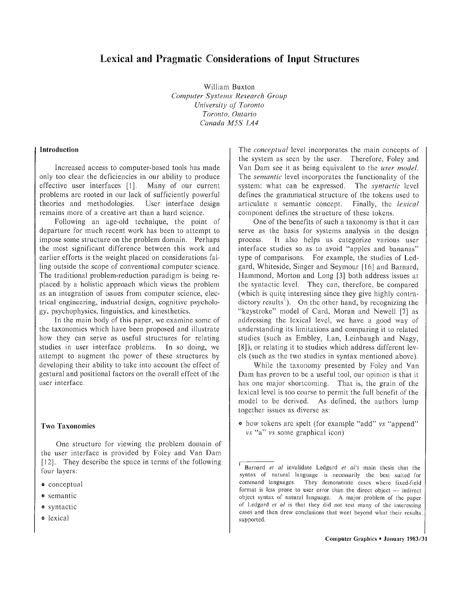# Lexical and Pragmatic Considerations of Input Structures

William Buxton *Computer Systems Research Group University of Toront o Toronto, Ontario Canada M5S 1A 4*

## **Introduction**

Increased access to computer-based tools has made only too clear the deficiencies in our ability to produce effective user interfaces [1]. Many of our current problems are rooted in our lack of sufficiently powerful theories and methodologies. User interface design remains more of a creative art than a hard science.

Following an age-old technique, the point of departure for much recent work has been to attempt to impose some structure on the problem domain. Perhaps the most significant difference between this work and earlier efforts is the weight placed on considerations falling outside the scope of conventional computer science. The traditional problem-reduction paradigm is being replaced by a holistic approach which views the problem as an integration of issues from computer science, electrical engineering, industrial design, cognitive psychology, psychophysics, linguistics, and kinesthetics .

In the main body of this paper, we examine some of the taxonomies which have been proposed and illustrate how they can serve as useful structures for relating studies in user interface problems. In so doing, we attempt to augment the power of these structures by developing their ability to take into account the effect of gestural and positional factors on the overall effect of the user interface.

#### **Two Taxonomies**

One structure for viewing the problem domain of the user interface is provided by Foley and Van Dam  $[12]$ . They describe the space in terms of the following four layers:

- $\bullet$  conceptual
- **e** semantic
- ® syntactic
- o lexical

The *conceptual* level incorporates the main concepts of the system as seen by the user. Therefore, Foley and Van Dam see it as being equivalent to the *user model.* The *semantic* level incorporates the functionality of the system: what can be expressed. The *syntactic* level defines the grammatical structure of the tokens used to articulate a semantic concept. Finally, the *lexical* component defines the structure of these tokens.

One of the benefits of such a taxonomy is that it can serve as the basis for systems analysis in the design process. It also helps us categorize various user interface studies so as to avoid "apples and bananas" type of comparisons. For example, the studies of Ledgard, Whiteside, Singer and Seymour [16] and Barnard, Hammond, Morton and Long [3] both address issues at the syntactic level. They can, therefore, be compared (which is quite interesting since they give highly contradictory results<sup>1</sup>). On the other hand, by recognizing the "keystroke" model of Card, Moran and Newell [7] as addressing the lexical level, we have a good way of understanding its limitations and comparing it to related studies (such as Embley, Lan, Leinbaugh and Nagy, [8]), or relating it to studies which address different levels (such as the two studies in syntax mentioned above).

While the taxonomy presented by Foley and Van Dam has proven to be a useful tool, our opinion is that it has one major shortcoming. That is, the grain of the lexical level is too coarse to permit the full benefit of the model to be derived. As defined, the authors lump together issues as diverse as:

® how tokens are spelt (for example "add" vs "append " vs "a" vs some graphical icon)

Barnard et al invalidate Ledgard et  $a^{\prime}$ 's main thesis that the syntax of natural language is necessarily the best suited for command languages. They demonstrate cases where fixed-field format is less prone to user error than the direct object  $-$  indirect object syntax of natural language. A major problem of the paper of Ledgard et al is that they did not test many of the interesting cases and then drew conclusions that went beyond what their results supported.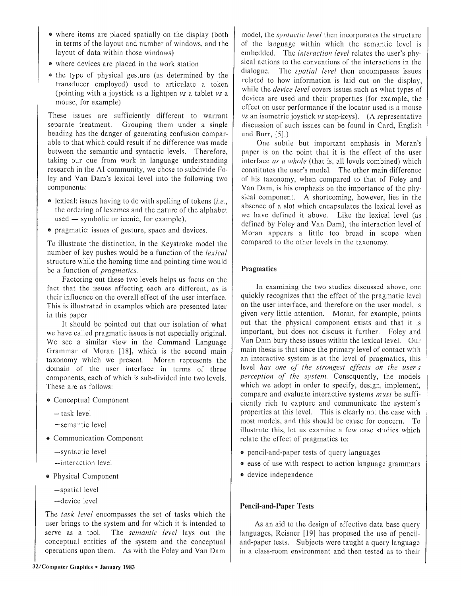- where items are placed spatially on the display (both in terms of the layout and number of windows, and the layout of data within those windows)
- e where devices are placed in the work station
- the type of physical gesture (as determined by the transducer employed) used to articulate a token (pointing with a joystick vs a lightpen vs a tablet vs a mouse, for example)

These issues are sufficiently different to warrant separate treatment. Grouping them under a single heading has the danger of generating confusion comparable to that which could result if no difference was made between the semantic and syntactic levels. Therefore, taking our cue from work in language understanding research in the AI community, we chose to subdivide Foley and Van Dam's lexical level into the following two components:

- $\bullet$  lexical: issues having to do with spelling of tokens (*i.e.*, the ordering of lexemes and the nature of the alphabet used — symbolic or iconic, for example) .
- $\bullet$  pragmatic: issues of gesture, space and devices.

To illustrate the distinction, in the Keystroke model the number of key pushes would be a function of the *lexical* structure while the homing time and pointing time would be a function of *pragmatics.*

Factoring out these two levels helps us focus on the fact that the issues affecting each are different, as is their influence on the overall effect of the user interface. This is illustrated in examples which are presented later in this paper.

It should be pointed out that our isolation of what we have called pragmatic issues is not especially original. We see a similar view in the Command Language Grammar of Moran  $[18]$ , which is the second main taxonomy which we present. Moran represents the domain of the user interface in terms of three components, each of which is sub-divided into two levels . These are as follows:

- o Conceptual Component
	- $-$  task level
	- semantic level
- Communication Component
	- $-syntactic level$
	- —interaction level
- o Physical Component
	- —spatial level
	- —device leve l

The *task level* encompasses the set of tasks which the user brings to the system and for which it is intended to serve as a tool. The *semantic level* lays out the conceptual entities of the system and the conceptual operations upon them. As with the Foley and Van Dam

model, the *syntactic level* then incorporates the structure of the language within which the semantic level is embedded. The *interaction level* relates the user's physical actions to the conventions of the interactions in the dialogue. The *spatial level* then encompasses issues related to how information is laid out on the display, while the *device level* covers issues such as what types of devices are used and their properties (for example, the effect on user performance if the locator used is a mouse vs an isometric joystick vs step-keys) . (A representative discussion of such issues can be found in Card, English and Burr,  $[5]$ .)

One subtle but important emphasis in Moran's paper is on the point that it is the effect of the user interface *as a whole* (that is, all levels combined) which constitutes the user's model. The other main difference of his taxonomy, when compared to that of Foley and Van Dam, is his emphasis on the importance of the physical component. A shortcoming, however, lies in the absence of a slot which encapsulates the lexical level as we have defined it above. Like the lexical level (as defined by Foley and Van Dam), the interaction level of Moran appears a little too broad in scope when compared to the other levels in the taxonomy .

# Pragmatics

In examining the two studies discussed above, one quickly recognizes that the effect of the pragmatic level on the user interface, and therefore on the user model, is given very little attention. Moran, for example, points out that the physical component exists and that it is important, but does not discuss it further. Foley and Van Dam bury these issues within the lexical level. Our main thesis is that since the primary level of contact with an interactive system is at the level of pragmatics, this level *has one of the strongest effects on the user's perception of the system.* Consequently, the models which we adopt in order to specify, design, implement, compare and evaluate interactive systems *must* be sufficiently rich to capture and communicate the system's properties at this level. This is clearly not the case with most models, and this should be cause for concern. To illustrate this, let us examine a few case studies which relate the effect of pragmatics to:

- **e** pencil-and-paper tests of query languages
- ease of use with respect to action language grammars
- a device independence

# **Pencil-and-Paper Tests**

As an aid to the design of effective data base query languages, Reisner [19] has proposed the use of penciland-paper tests. Subjects were taught a query language in a class-room environment and then tested as to their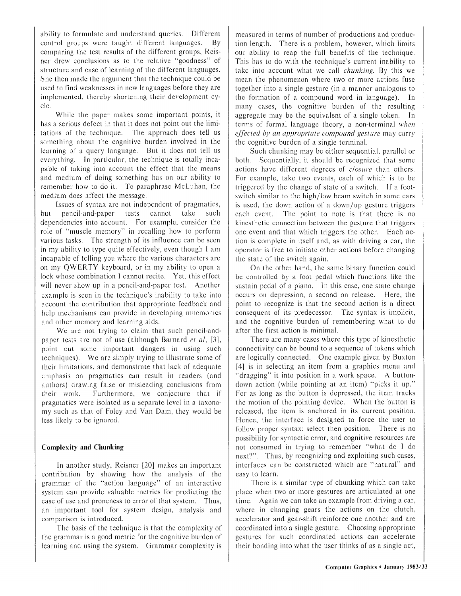ability to formulate and understand queries. Different control groups were taught different languages. By comparing the test results of the different groups, Reisner drew conclusions as to the relative "goodness" of structure and ease of learning of the different languages . She then made the argument that the technique could be used to find weaknesses in new languages before they are implemented, thereby shortening their development cycle.

While the paper makes some important points, it has a serious defect in that it does not point out the limitations of the technique. The approach does tell us something about the cognitive burden involved in the learning of a query language. But it does not tell us everything. In particular, the technique is totally incapable of taking into account the effect that the means and medium of doing something has on our ability to remember how to do it. To paraphrase McLuhan, the medium does affect the message .

Issues of syntax are not independent of pragmatics, but pencil-and-paper tests cannot take such dependencies into account. For example, consider the role of "muscle memory" in recalling how to perform various tasks. The strength of its influence can be seen in my ability to type quite effectively, even though  $I$  am incapable of telling you where the various characters are on my QWERTY keyboard, or in my ability to open <sup>a</sup> lock whose combination I cannot recite. Yet, this effect will never show up in a pencil-and-paper test. Another example is seen in the technique 's inability to take into account the contribution that appropriate feedback and help mechanisms can provide in developing mnemonics and other memory and learning aids.

We are not trying to claim that such pencil-andpaper tests are not of use (although Barnard *et a!, [3] ,* point out some important dangers in using such techniques). We are simply trying to illustrate some of their limitations, and demonstrate that lack of adequate emphasis on pragmatics can result in readers (and authors) drawing false or misleading conclusions from their work. Furthermore, we conjecture that if pragmatics were isolated as a separate level in a taxonomy such as that of Foley and Van Dam, they would be less likely to be ignored .

### **Complexity and Chunking**

In another study, Reisner  $[20]$  makes an important contribution by showing how the analysis of the grammar of the "action language" of an interactive system can provide valuable metrics for predicting the case of use and proneness to error of that system. Thus, an important tool for system design, analysis and comparison is introduced.

The basis of the technique is that the complexity of the grammar is a good metric for the cognitive burden of learning and using the system. Grammar complexity is

measured in terms of number of productions and production length. There is a problem, however, which limits our ability to reap the full benefits of the technique. This has to do with the technique's current inability to take into account what we call *chunking.* By this we mean the phenomenon where two or more actions fuse together into a single gesture (in a manner analogous to the formation of a compound word in language). In many cases, the cognitive burden of the resulting aggregate may be the equivalent of a single token. In terms of formal language theory, a non-terminal *when effected by an appropriate compound gesture* may carry the cognitive burden of a single terminal.

Such chunking may be either sequential, parallel or both. Sequentially, it should be recognized that some actions have different degrees of *closure* than others. For example, take two events, each of which is to be triggered by the change of state of a switch. If a footswitch similar to the high/low beam switch in some cars is used, the down action of a down/up gesture triggers each event. The point to note is that there is no kinesthetic connection between the gesture that triggers one event and that which triggers the other. Each action is complete in itself and, as with driving a car, the operator is free to initiate other actions before changing the state of the switch again.

On the other hand, the same binary function could be controlled by a foot pedal which functions like the sustain pedal of a piano. In this case, one state change occurs on depression, a second on release. Here, the point to recognize is that the second action is a direct consequent of its predecessor. The syntax is implicit, and the cognitive burden of remembering what to do after the first action is minimal.

There are many cases where this type of kinesthetic connectivity can be bound to a sequence of tokens which are logically connected. One example given by Buxton [4] is in selecting an item from a graphics menu and "dragging" it into position in a work space. A buttondown action (while pointing at an item) "picks it up." For as long as the button is depressed, the item tracks the motion of the pointing device. When the button is released, the item is anchored in its current position. Hence, the interface is designed to force the user to follow proper syntax: select then position. There is no possibility for syntactic error, and cognitive resources are not consumed in trying to remember "what do I do next?". Thus, by recognizing and exploiting such cases, interfaces can be constructed which are "natural" and easy to learn.

There is a similar type of chunking which can take place when two or more gestures are articulated at one time. Again we can take an example from driving a car, where in changing gears the actions on the clutch, accelerator and gear-shift reinforce one another and are coordinated into a single gesture. Choosing appropriate gestures for such coordinated actions can accelerate their bonding into what the user thinks of as a single act,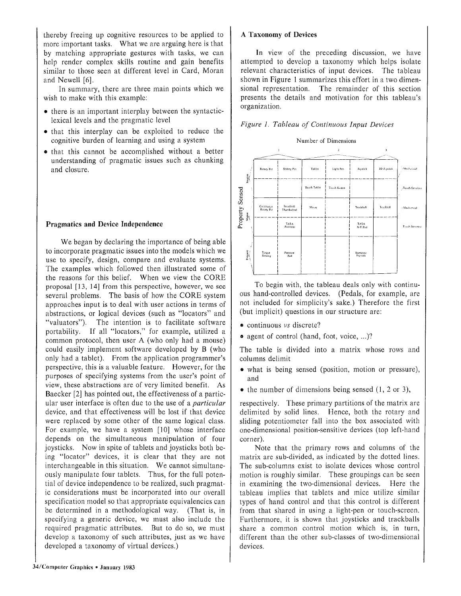thereby freeing up cognitive resources to be applied to more important tasks. What we are arguing here is that by matching appropriate gestures with tasks, we can help render complex skills routine and gain benefits similar to those seen at different level in Card, Moran and Newell [6].

In summary, there are three main points which we wish to make with this example:

- there is an important interplay between the syntacticlexical levels and the pragmatic level
- that this interplay can be exploited to reduce the cognitive burden of learning and using a system
- that this cannot be accomplished without a better understanding of pragmatic issues such as chunking and closure.

#### **Pragmatics and Device Independence**

We began by declaring the importance of being able. to incorporate pragmatic issues into the models which we use to specify, design, compare and evaluate systems. The examples which followed then illustrated some of the reasons for this belief. When we view the CORE proposal [13, 14] from this perspective, however, we see several problems. The basis of how the CORE system approaches input is to deal with user actions in terms of abstractions, or logical devices (such as "locators" and "valuators"). The intention is to facilitate software portability. If all "locators," for example, utilized a common protocol, then user A (who only had a mouse) could easily implement software developed by B (who only had a tablet). From the application programmer's perspective, this is a valuable feature. However, for the purposes of specifying systems from the user's point of view, these abstractions are of very limited benefit. As Baecker [2] has pointed out, the effectiveness of a particular user interface is often due to the use of *a particula r* device, and that effectiveness will be lost if that device were replaced by some other of the same logical class. For example, we have a system [10] whose interface depends on the simultaneous manipulation of four joysticks. Now in spite of tablets and joysticks both being "locator" devices, it is clear that they are not interchangeable in this situation. We cannot simultaneously manipulate four tablets. Thus, for the full potential of device independence to be realized, such pragmatic considerations must be incorporated into our overall specification model so that appropriate equivalencies can be determined in a methodological way. (That is, in specifying a generic device, we must also include the required pragmatic attributes. But to do so, we must develop a taxonomy of such attributes, just as we have developed a taxonomy of virtual devices.)

#### **A Taxonomy of Devices**

In view of the preceding discussion, we have attempted to develop a taxonomy which helps isolate relevant characteristics of input devices. The tableau shown in Figure 1 summarizes this effort in a two dimensional representation. The remainder of this section presents the details and motivation for this tableau's organization.





To begin with, the tableau deals only with continuous hand-controlled devices. (Pedals, for example, are not included for simplicity's sake .) Therefore the first (but implicit) questions in our structure are :

- continuous vs discrete?
- agent of control (hand, foot, voice, ...)?

The table is divided into a matrix whose rows and columns delimit

- what is being sensed (position, motion or pressure), and
- $\bullet$  the number of dimensions being sensed (1, 2 or 3),

respectively. These primary partitions of the matrix are delimited by solid lines. Hence, both the rotary and sliding potentiometer fall into the box associated with one-dimensional position-sensitive devices (top left-hand corner).

Note that the primary rows and columns of the matrix are sub-divided, as indicated by the dotted lines. The sub-columns exist to isolate devices whose control motion is roughly similar. These groupings can be seen in examining the two-dimensional devices. Here the tableau implies that tablets and mice utilize similar types of hand control and that this control is different from that shared in using a light-pen or touch-screen. Furthermore, it is shown that joysticks and trackballs share a common control motion which is, in turn, different than the other sub-classes of two-dimensional devices.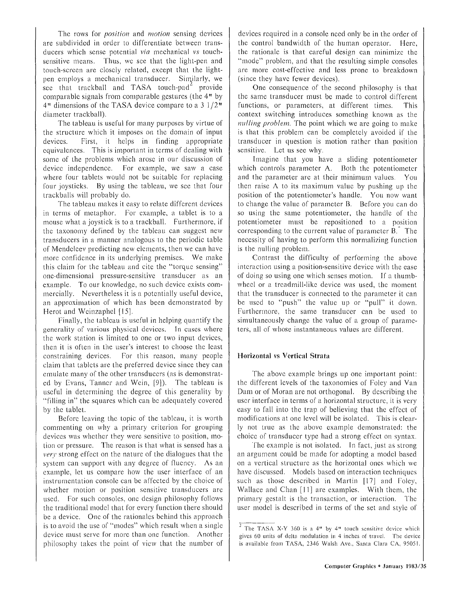The rows for *position* and *motion* sensing devices are subdivided in order to differentiate between transducers which sense potential *via* mechanical *vs* touchsensitive means. Thus, we see that the light-pen and touch-screen are closely related, except that the lightpen employs a mechanical transducer. Similarly, we see that trackball and TASA touch-pad<sup>2</sup> provide comparable signals from comparable gestures (the  $4<sup>n</sup>$  by 4" dimensions of the TASA device compare to a 3 1/2 " diameter trackball).

The tableau is useful for many purposes by virtue of the structure which it imposes on the domain of input devices. First, it helps in finding appropriate equivalences. This is important in terms of dealing with some of the problems which arose in our discussion of device independence. For example, we saw a case where four tablets would not be suitable for replacing four joysticks. By using the tableau, we see that four trackballs will probably do.

The tableau makes it easy to relate different devices in terms of metaphor. For example, a tablet is to a mouse what a joystick is to a trackball. Furthermore, if the taxonomy defined by the tableau can suggest new transducers in a manner analogous to the periodic table of Mendeleev predicting new elements, then we can have more confidence in its underlying premises. We make this claim for the tableau and cite the "torque sensing" one-dimensional pressure-sensitive transducer as an example. To our knowledge, no such device exists commercially. Nevertheless it is a potentially useful device, an approximation of which has been demonstrated by Herot and Weinzaphel [15].

Finally, the tableau is useful in helping quantify the generality of various physical devices. In cases where the work station is limited to one or two input devices, then it is often in the user's interest to choose the least constraining devices. For this reason, many people claim that tablets are the preferred device since they can emulate many of the other transducers (as is demonstrated by Evans, Tanner and Wein, [9]). The tableau is useful in determining the degree of this generality by "filling in" the squares which can be adequately covered by the tablet.

Before leaving the topic of the tableau, it is worth commenting on why a primary criterion for grouping devices was whether they were sensitive to position, motion or pressure. The reason is that what is sensed has a *very* strong effect on the nature of the dialogues that the system can support with any degree of fluency. As an example, let us compare how the user interface of an instrumentation console can be affected by the choice of whether motion or position sensitive transducers are used. For such consoles, one design philosophy follows the traditional model that for every function there should be a device. One of the rationales behind this approach is to avoid the use of "modes" which result when a single device must serve for more than one function. Another philosophy takes the point of view that the number of devices required in a console need only be in the order of the control bandwidth of the human operator. Here, the rationale is that careful design can minimize the "mode" problem, and that the resulting simple consoles are more cost-effective and less prone to breakdown (since they have fewer devices) .

One consequence of the second philosophy is that the same transducer must be made to control different functions, or parameters, at different times . This context switching introduces something known as the *nulling problem.* The point which we are going to make is that this problem can be completely avoided if the transducer in question is motion rather than position sensitive. Let us see why.

Imagine that you have a sliding potentiometer which controls parameter A. Both the potentiometer and the parameter are at their minimum values. You then raise  $A$  to its maximum value by pushing up the position of the potentiometer's handle. You now want to change the value of parameter B. Before you can do so using the same potentiometer, the handle of the potentiometer must be repositioned to a position corresponding to the current value of parameter B. The necessity of having to perform this normalizing function is the nulling problem.

Contrast the difficulty of performing the above interaction using a position-sensitive device with the ease of doing so using one which senses motion . If a thumbwheel or a treadmill-like device was used, the moment that the transducer is connected to the parameter it can be used to "push" the value up or "pull" it down. Furthermore, the same transducer can be used to simultaneously change the value of a group of parameters, all of whose instantaneous values are different.

### **Horizontal vs Vertical Strata**

The above example brings up one important point: the different levels of the taxonomies of Foley and Van Dam or of Moran are not orthogonal. By describing the user interface in terms of a horizontal structure, it is very easy to fall into the trap of believing that the effect of modifications at one level will be isolated. This is clearly not true as the above example demonstrated: the choice of transducer type had a strong effect on syntax .

The example is not isolated. In fact, just as strong an argument could be made for adopting a model based on a vertical structure as the horizontal ones which we have discussed. Models based on interaction techniques such as those described in Martin  $[17]$  and Foley, Wallace and Chan  $[11]$  are examples. With them, the primary gestalt is the transaction, or interaction. The user model is described in terms of the set and style of

 $\frac{1}{2}$  The TASA X-Y 360 is a 4" by 4" touch sensitive device which gives 60 units of delta modulation in <sup>4</sup> inches of travel . The device is available from TASA, 2346 Walsh Ave., Santa Clara CA, 95051.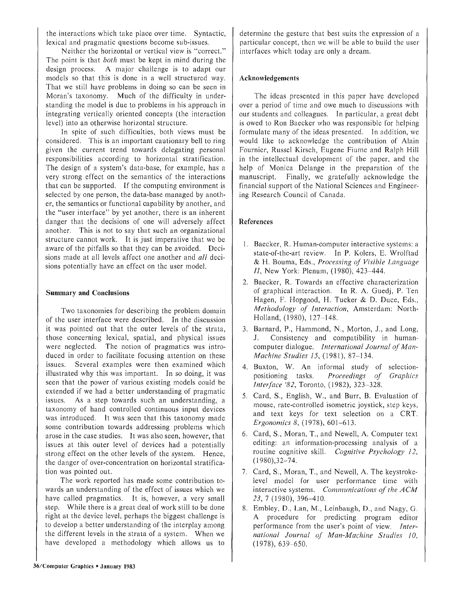the interactions which take place over time. Syntactic, lexical and pragmatic questions become sub-issues .

Neither the horizontal or vertical view is "correct. " The point is that *both* must be kept in mind during the design process. A major challenge is to adapt our models so that this is done in a well structured way. That we still have problems in doing so can be seen in Moran's taxonomy. Much of the difficulty in understanding the model is due to problems in his approach in integrating vertically oriented concepts (the interaction level) into an otherwise horizontal structure.

In spite of such difficulties, both views must be considered. This is an important cautionary bell to ring given the current trend towards delegating personal responsibilities according to horizontal stratification. The design of a system's data-base, for example, has a very strong effect on the semantics of the interactions that can be supported. If the computing environment is selected by one person, the data-base managed by another, the semantics or functional capability by another, and the "user interface" by yet another, there is an inherent danger that the decisions of one will adversely affect another. This is not to say that such an organizational structure cannot work. It is just imperative that we be aware of the pitfalls so that they can be avoided. Decisions made at all levels affect one another and *all* decisions potentially have an effect on the user model.

#### **Summary and Conclusion s**

Two taxonomies for describing the problem domain of the user interface were described. In the discussion it was pointed out that the outer levels of the strata, those concerning lexical, spatial, and physical issues were neglected. The notion of pragmatics was introduced in order to facilitate focusing attention on these issues. Several examples were then examined which illustrated why this was important. In so doing, it was seen that the power of various existing models could be extended if we had a better understanding of pragmatic issues. As a step towards such an understanding, a taxonomy of hand controlled continuous input devices was introduced. It was seen that this taxonomy made some contribution towards addressing problems which arose in the case studies. It was also seen, however, that issues at this outer level of devices had a potentially strong effect on the other levels of the system. Hence, the danger of over-concentration on horizontal stratification was pointed out.

The work reported has made some contribution towards an understanding of the effect of issues which we have called pragmatics. It is, however, a very small step. While there is a great deal of work still to be done right at the device level, perhaps the biggest challenge is to develop a better understanding of the interplay among the different levels in the strata of a system. When we have developed a methodology which allows us to determine the gesture that best suits the expression of <sup>a</sup> particular concept, then we will be able to build the user interfaces which today are only a dream.

### **Acknowledgements**

The ideas presented in this paper have developed over a period of time and owe much to discussions with our students and colleagues. In particular, a great debt is owed to Ron Baecker who was responsible for helping formulate many of the ideas presented. In addition, we would like to acknowledge the contribution of Alain Fournier, Russel Kirsch, Eugene Fiume and Ralph Hill in the intellectual development of the paper, and the help of Monica Delange in the preparation of the manuscript. Finally, we gratefully acknowledge the financial support of the National Sciences and Engineering Research Council of Canada .

### **Reference s**

- 1. Baecker, R. Human-computer interactive systems: a state-of-the-art review. In P. Kolers, E. Wrolftad & H. Bouma, Eds., *Processing of Visible Language II*, New York: Plenum, (1980), 423–444.
- 2. Baecker, R. Towards an effective characterization of graphical interaction. In R. A. Guedj, P. Ten Hagen, F. Hopgood, H. Tucker & D. Duce, Eds., *Methodology of Interaction, Amsterdam: North-*Holland, (1980), 127—148.
- 3. Barnard, P., Hammond, N., Morton, J., and Long, J . Consistency and compatibility in humancomputer dialogue. *International Journal of Man-Machine Studies I5,* (1981), 87—134 .
- 4. Buxton, W. An informal study of selection-<br>positioning tasks. *Proceedings of Graphics* Proceedings of Graphics. *Interface '82,* Toronto, (1982), 323—328 .
- 5. Card, S., English, W., and Burr, B. Evaluation of mouse, rate-controlled isometric joystick, step keys, and text keys for text selection on a CRT. *Ergonomics 8,* (1978), 601—613 .
- 6. Card, S., Moran, T., and Newell, A. Computer text editing: an information-processing analysis of <sup>a</sup> routine cognitive skill. *Cognitive Psychology 12*, (1980),32—74 .
- 7. Card, S., Moran, T., and Newell, A. The keystrokelevel model for user performance time with interactive systems. Communications of the ACM *23,* 7 (1980), 396—410.
- 8. Embley, D., Lan, M., Leinbaugh, D., and Nagy, G. A procedure for predicting program editor performance from the user's point of view. Inter*national Journal of Man-Machine Studies 10 ,* (1978), 639—650 .